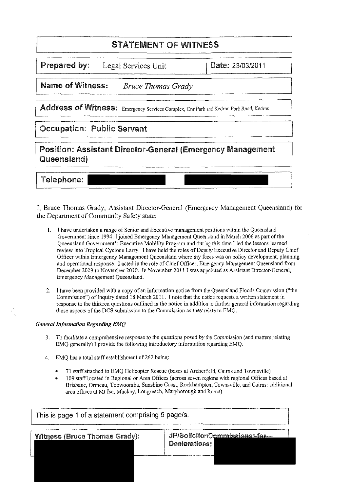# **STATEMENT OF WITNESS**

*Prepared by:* Legal Services Unit

*Date:* 23/03/2011

*Name of Witness: Bruce Thomas Grady* 

Address of Witness: Emergency Services Complex, Cnr Park and Kedron Park Road, Kedron

## **Occupation: Public Servant**

*Position: Assistant Director-General (Emergency Management Queensland)* 

<sup>I</sup>*Telephone:* <sup>1</sup>

I, Bruce Thomas Grady, Assistant Director-General (Emergency Management Queensland) for the Department of Community Safety state:

- 1. I have undertaken a range of Senior and Executive management positions within the Queensland Government since 1994. I joined Emergency Management Queensland in March 2006 as part of the Queensland Government's Executive Mobility Program and during this time I led the lessons learned review into Tropical Cyclone Larry. I have held the roles of Deputy Executive Director and Deputy Chief Officer within Emergency Management Queensland where my focus was on policy development, planning and operational response. I acted in the role of Chief Officer, Emergency Management Queensland from December 2009 to November 2010. In November 201 **1** I was appointed as Assistant Director-General, Emergency Management Queensland.
- 2. 1 have been provided with a copy of an information notice from the Queensland Floods Commission ("the Commission") of Inquiry dated 18 March 2011. I note that the notice requests a written statement in response to the thirteen questions outlined in the notice in addition to further general information regarding those aspects of the DCS submission to the Commission as they relate to EMQ.

## *General Information Regarding EMQ*

- 3. To facilitate a comprehensive response to the questions posed by the Commission (and matters relating EMQ generally) I provide the following introductory information regarding EMQ.
- 4. EMQ has a total staff establishment of 262 being:
	- *8* 71 staff attached to EMQ Helicopter Rescue (bases at Archerfield, Cairns and Townsville)
	- . 109 staff located in Regional or Area Offices (across seven regions with regional Offices based at Brisbane, Ormeau, Toowoomba, Sunshine Coast, Rockhampton, Townsville, and Cairns: additional area offices at Mt Isa, Mackay, Longreach, Maryborough and Roma)

| <b>Witness (Bruce Thomas Grady):</b> | JP/Solicitor/Commissioner-for |
|--------------------------------------|-------------------------------|
|                                      | Declarations:                 |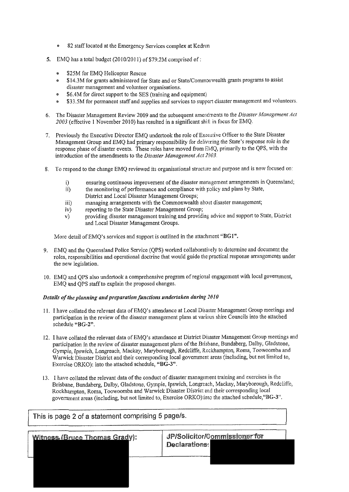- $\bullet$ 82 staff located at the Emergency Services complex at Kedron
- *5.* EMQ has a total budget (2010/2011) of \$79.2M comprised of:
	- \$25M for EMQ Helicopter Rescue
	- \$14.3M for grants administered for State and or State/Commonwealth grants programs to assist disaster management and volunteer organisations.
	- \$6.4M for direct support to the SES (training and equipment)
	- \* \$33.5M for permanent staff and supplies and services to support disaster management and volunteers.
- 6. The Disaster Management Review 2009 and the subsequent ameiidments to the *Disaster Management Act 2003* (effective 1 November 2010) has resulted in a significant shifr in focus for EMQ.
- 7. Previously the Executive Director EMQ undertook the role of Executive Officer to the State Disaster Management Group and EMQ had primary responsibility for delivering the State's response role in the response phase of disaster events. These roles have moved from EMQ, primarily to the QPS, with the introduction of the amendments to the *Disaster Management Act 2003.*
- To respond to the change EMQ reviewed its organisational structure and purpose and is now focused on:
	- i) ensuring continuous improvement of the disaster management arrangements in Queensland;<br>ii) the monitoring of performance and compliance with policy and plans by State,
	- the monitoring of performance and compliance with policy and plans by State,
	- District and Local Disaster Management Groups;
	- iii) managing arrangements with the Commonwealth about disaster management;
	- iv) reporting to the State Disaster Management Group;<br>v) providing disaster management training and providi
	- providing disaster management training and providing advice and support to State, District and Local Disaster Management Groups.

More detail of EMQ's services and support is outlined in the attachment "BG1".

- 9. EMQ and the Queensland Police Service (QPS) worked collahoratively to determine and document the roles, responsibilities and operational doctrine that would guide the practical response arrangements under the new legislation.
- 10. EMQ and QPS also undertook a comprehensive program of regional engagement with local government, EMQ and OPS staff to explain the proposed changes.

### *Details of the planning and preparation functions undertaken during 2010*

- 11. I have collated the relevant data of EMQ's attendance at Local Disaster Management Group meetings and participation in the review of the disaster management plans at various shire Councils into the attached schedule "BG-2".
- 12. 1 have collated the relevant data of EMQ's attendance at District Disaster Management Group meetings and participation in the review of disaster management plans of the Brisbane, Bundaberg, Dalby, Gladstone, Gympie, Ipswich, Longreach, Mackay, Maryborough, Redcliffe, Rockhampton, Roma, Toowoomba and Warwick Disaster District and their corresponding local government areas (including, but not limited to, Exercise ORKO): into the attached schedule, "BG-3".
- 13. 1 have collated the relevant data of the conduct of disaster management training and exercises in the Brishane, Bundaherg, Dalhy, Gladstone, Gympie, Ipswich, Longreach, Mackay, Maryborough, Redcliffe, Rockhampton, Roma, Toowoomba and Warwick Disaster District and their corresponding local government areas (including, hut not limited to, Exercise ORKO) into the attached schedule,"BG-3".

| This is page 2 of a statement comprising 5 page/s. |                                                |  |
|----------------------------------------------------|------------------------------------------------|--|
| <b>Witness (Bruce Thomas Grady):</b>               | JP/Solicitor/Commissioner for<br>Declarations: |  |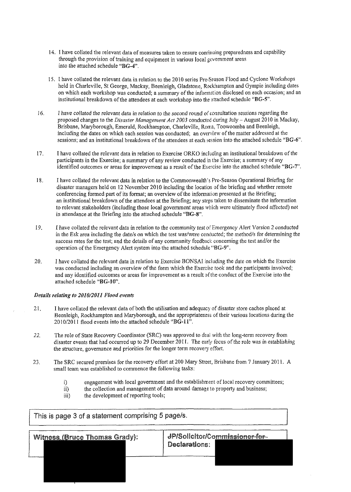- 14. 1 have collated the relevant data of measures taken to ensure coniinuing preparedness and capability through the provision of training and equipment in various local govemment areas into the attached schedule " $BG-4"$ .
- 15. I have collated the relevant data in relation to the 2010 series Pre-Season Flood and Cyclone Workshops held in Charleville, St George, Mackay, Beenleigh, Gladstone, Rockhampton and Gympie including dates on which each workshop was conducted; a summary of the inforination disclosed on each occasion; and an institutional breakdown of the attendees at each worltshop into the 4ttached schedule "BG-5".
- 16. I have collated the relevant data in relation to the second round of consultation sessions regarding the proposed changes to the *Disaster Management Act 2003* conducted during July - August 2010 in Mackay, Brisbane, Maryborough, Emerald, Rockhampton, Charleville, Rora, Toowoomba and Beenleigh, including the dates on which each session was conducted; an overview of the matter addressed at the sessions; and an institutional breakdown of the attendees at each session into the attached schedule "BG-6".
- 17. I have collated the relevant data in relation to Exercise ORKO including an institutional breakdown of the participants in the Exercise; a summary of any review conducted in the Exercise; a summary of any identified outcomes or areas for improvement as a result of the Exercise into the attached schedule "BG-7".
- 18. I have collated the relevant data in relation to the Commonwealth's Pre-Season Operational Briefing for disaster managers held on 12 November 2010 including the location of the briefmg and whether remote conferencing formed part of its format; an overview of the informalion presented at the Briefing; an institutional breakdown of the attendees at the Briefing; any steps taken to disseminate the information to relevant stakeholders (including those local govemment areas rvhich were ultimately flood affected) not in attendance at the Briefing into the attached schedule "BG-8".
- 19. 1 have collated the relevant data in relation to the community testofEmergency Alert Version 2 conducted in the Esk area including the date/s on which the test was/were conducted; the method/s for determining the success rates for the test; and the details of any community feedback concerning the test and/or the operation of the Emergency Alert system into the attached schedule "BG-9".
- 20. I have collated the relevant data in relation to Exercise BONSAI including the date on which the Exercise was conducted including an overview of the form which the Exercise took and the participants involved; and any identified outcomes or areas for improvement as a result of the conduct of the Exercise into the attached schedule "BG-IQ".

### *Derails relating to 2010/2011 Flood events*

- 2 1. 1 have collated the relevant data of both the utilisation and adequacy of disaster store caches placed at Beenleigh, Rockhampton and Maryborough, and the appropriateness of their various locations during the  $2010/2011$  flood events into the attached schedule "BG-11".
- *22.* The role of State Recovery Coordinator (SRC) was approved to deal with the long-term recovery from disaster events that had occurred up to 29 December 2011. The early focus of the role was in establishing the structure, governance and priorities for the longer term recovery effort.
- 23. The SRC secured premises for the recovery effort at 200 Mary Street, Brisbane from 7 January 2011. A small team was established to commence the following tasks:
	- i) engagement with local government and the establishment of local recovery committees;<br>ii) the collection and management of data around damage to property and business;
	- ii) the collection and management of data around damage to property and business;<br>iii) the development of reporting tools;
	- the development of reporting tools;

This is page 3 of a statement comprising 5 page/s. JP/Solicitor/Commissioner-for-1 Witness-(Bruce Thomas **Gradvl:** Declarations: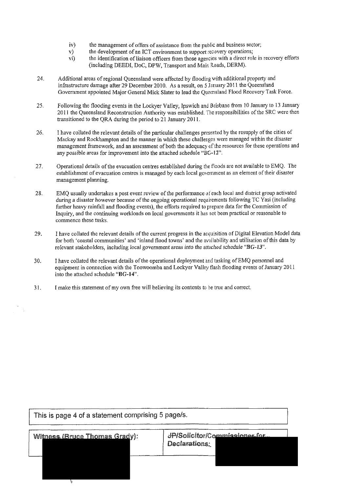- iv) the management of offers of assistance from the public and business sector;<br> $v$ ) the development of an ICT environment to support recovery operations;
- v) the development of an ICT environment to support recovery operations;<br>vi) the identification of liaison officers from those agencies with a direct rol-
- the identification of liaison officers from those agencies with a direct role in recovery efforts (including DEEDI, DoC, DPW, Transport and Main Roads, DERM).
- 24. Additional areas of regional Queensland were affected by flooding with additional property and infrastructure damage after 29 December 2010. As a result, on 5 January 2011 the Queensland Government appointed Major General Mick Slater to lead the Queensland Flood Recovery Task Force.
- 25. Following the flooding events in the Lockyer Valley, Ipswich and Brisbane from 10 January to 13 January 2011 the Queensland Reconstruction Authority was established. The responsibilities of the SRC were then transitioned to the QRA during the period to  $21$  January 2011.
- 26. 1 have collated the relevant details of the particular challenges presented by the resupply of the cities of Mackay and Rockhampton and the manner in which these challenges were managed within the disaster management framework, and an assessment of both the adequacy of the resources for these operations and any possible areas for improvement into the attached schedule "BG-12".
- $27.$ Operational details of the evacuation centres established during the floods are not available to EMQ. The establishment of evacuation centres is managed by each local government as an element of their disaster management planning.
- 28. EMQ usually undertakes a post event review of the performance of each local and district group activated during a disaster however because of the ongoing operational requirements following TC Yasi (including further heavy rainfall and flooding events), the efforts required to prepare data for the Commission of Inquiry, and the continuing workloads on local governments it has oat been practical or reasonable to commence these tasks.
- 29. I have collated the relevant details of the current progress in the acquisition of Digital Elevation Model data for both 'coastal communities' and 'inland flood towns' and the availability and utilisation of this data by relevant stakeholders, including local government areas into the attached schedule "BG-13".
- I have collated the relevant details of the operational deployment and tasking of EMQ personnel and 30. equipment in connection with the Toowoomba and Lockyer Valley flash flooding events of January 2011 into the attached schedule "BG-14".
- $31.$ I make this statement of my own free will believing its contents to he true and correct.

This is page 4 of a statement comprising 5 page/s. JP/Solicitor/Commissioner for **Witness (Bruce Thomas Grady):** Declarations: